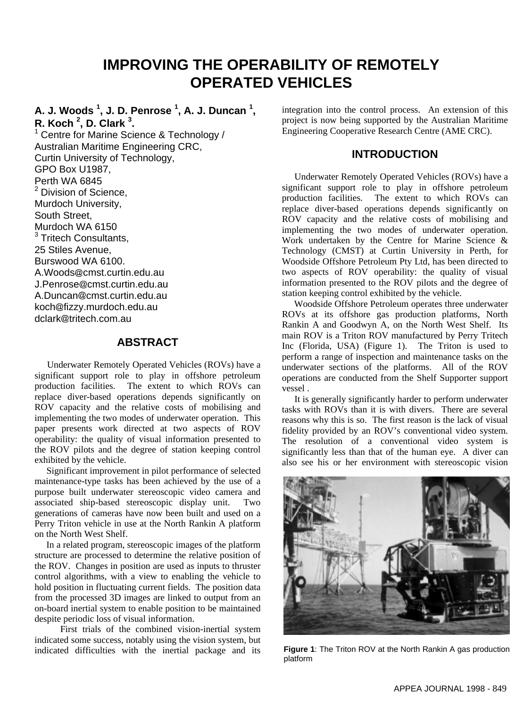# **IMPROVING THE OPERABILITY OF REMOTELY OPERATED VEHICLES**

## **A. J. Woods <sup>1</sup> , J. D. Penrose <sup>1</sup> , A. J. Duncan <sup>1</sup> , R. Koch <sup>2</sup> , D. Clark <sup>3</sup> .**

<sup>1</sup> Centre for Marine Science & Technology / Australian Maritime Engineering CRC, Curtin University of Technology, GPO Box U1987, Perth WA 6845 <sup>2</sup> Division of Science, Murdoch University, South Street, Murdoch WA 6150 <sup>3</sup> Tritech Consultants, 25 Stiles Avenue, Burswood WA 6100. A.Woods@cmst.curtin.edu.au J.Penrose@cmst.curtin.edu.au A.Duncan@cmst.curtin.edu.au koch@fizzy.murdoch.edu.au dclark@tritech.com.au

## **ABSTRACT**

 Underwater Remotely Operated Vehicles (ROVs) have a significant support role to play in offshore petroleum production facilities. The extent to which ROVs can replace diver-based operations depends significantly on ROV capacity and the relative costs of mobilising and implementing the two modes of underwater operation. This paper presents work directed at two aspects of ROV operability: the quality of visual information presented to the ROV pilots and the degree of station keeping control exhibited by the vehicle.

 Significant improvement in pilot performance of selected maintenance-type tasks has been achieved by the use of a purpose built underwater stereoscopic video camera and associated ship-based stereoscopic display unit. generations of cameras have now been built and used on a Perry Triton vehicle in use at the North Rankin A platform on the North West Shelf.

 In a related program, stereoscopic images of the platform structure are processed to determine the relative position of the ROV. Changes in position are used as inputs to thruster control algorithms, with a view to enabling the vehicle to hold position in fluctuating current fields. The position data from the processed 3D images are linked to output from an on-board inertial system to enable position to be maintained despite periodic loss of visual information.

 First trials of the combined vision-inertial system indicated some success, notably using the vision system, but indicated difficulties with the inertial package and its

integration into the control process. An extension of this project is now being supported by the Australian Maritime Engineering Cooperative Research Centre (AME CRC).

## **INTRODUCTION**

 Underwater Remotely Operated Vehicles (ROVs) have a significant support role to play in offshore petroleum production facilities. The extent to which ROVs can replace diver-based operations depends significantly on ROV capacity and the relative costs of mobilising and implementing the two modes of underwater operation. Work undertaken by the Centre for Marine Science & Technology (CMST) at Curtin University in Perth, for Woodside Offshore Petroleum Pty Ltd, has been directed to two aspects of ROV operability: the quality of visual information presented to the ROV pilots and the degree of station keeping control exhibited by the vehicle.

 Woodside Offshore Petroleum operates three underwater ROVs at its offshore gas production platforms, North Rankin A and Goodwyn A, on the North West Shelf. Its main ROV is a Triton ROV manufactured by Perry Tritech Inc (Florida, USA) (Figure 1). The Triton is used to perform a range of inspection and maintenance tasks on the underwater sections of the platforms. All of the ROV operations are conducted from the Shelf Supporter support vessel .

 It is generally significantly harder to perform underwater tasks with ROVs than it is with divers. There are several reasons why this is so. The first reason is the lack of visual fidelity provided by an ROV's conventional video system. The resolution of a conventional video system is significantly less than that of the human eye. A diver can also see his or her environment with stereoscopic vision



**Figure 1**: The Triton ROV at the North Rankin A gas production platform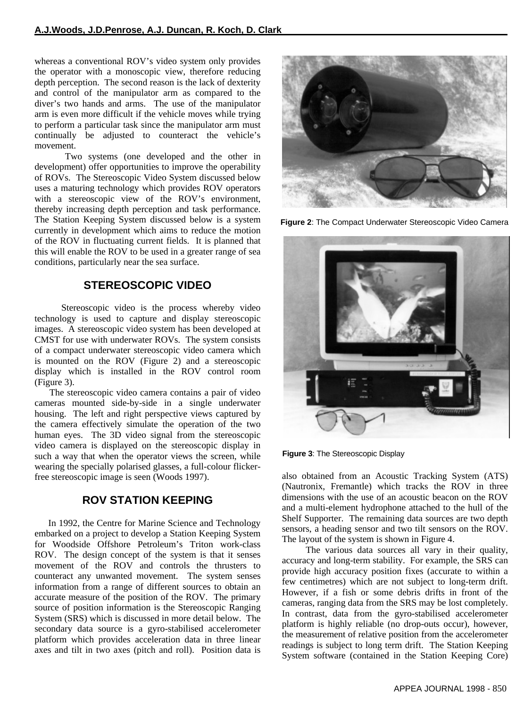whereas a conventional ROV's video system only provides the operator with a monoscopic view, therefore reducing depth perception. The second reason is the lack of dexterity and control of the manipulator arm as compared to the diver's two hands and arms. The use of the manipulator arm is even more difficult if the vehicle moves while trying to perform a particular task since the manipulator arm must continually be adjusted to counteract the vehicle's movement.

 Two systems (one developed and the other in development) offer opportunities to improve the operability of ROVs. The Stereoscopic Video System discussed below uses a maturing technology which provides ROV operators with a stereoscopic view of the ROV's environment, thereby increasing depth perception and task performance. The Station Keeping System discussed below is a system currently in development which aims to reduce the motion of the ROV in fluctuating current fields. It is planned that this will enable the ROV to be used in a greater range of sea conditions, particularly near the sea surface.

## **STEREOSCOPIC VIDEO**

 Stereoscopic video is the process whereby video technology is used to capture and display stereoscopic images. A stereoscopic video system has been developed at CMST for use with underwater ROVs. The system consists of a compact underwater stereoscopic video camera which is mounted on the ROV (Figure 2) and a stereoscopic display which is installed in the ROV control room (Figure 3).

 The stereoscopic video camera contains a pair of video cameras mounted side-by-side in a single underwater housing. The left and right perspective views captured by the camera effectively simulate the operation of the two human eyes. The 3D video signal from the stereoscopic video camera is displayed on the stereoscopic display in such a way that when the operator views the screen, while wearing the specially polarised glasses, a full-colour flickerfree stereoscopic image is seen (Woods 1997).

## **ROV STATION KEEPING**

 In 1992, the Centre for Marine Science and Technology embarked on a project to develop a Station Keeping System for Woodside Offshore Petroleum's Triton work-class ROV. The design concept of the system is that it senses movement of the ROV and controls the thrusters to counteract any unwanted movement. The system senses information from a range of different sources to obtain an accurate measure of the position of the ROV. The primary source of position information is the Stereoscopic Ranging System (SRS) which is discussed in more detail below. The secondary data source is a gyro-stabilised accelerometer platform which provides acceleration data in three linear axes and tilt in two axes (pitch and roll). Position data is



**Figure 2**: The Compact Underwater Stereoscopic Video Camera



**Figure 3**: The Stereoscopic Display

also obtained from an Acoustic Tracking System (ATS) (Nautronix, Fremantle) which tracks the ROV in three dimensions with the use of an acoustic beacon on the ROV and a multi-element hydrophone attached to the hull of the Shelf Supporter. The remaining data sources are two depth sensors, a heading sensor and two tilt sensors on the ROV. The layout of the system is shown in Figure 4.

 The various data sources all vary in their quality, accuracy and long-term stability. For example, the SRS can provide high accuracy position fixes (accurate to within a few centimetres) which are not subject to long-term drift. However, if a fish or some debris drifts in front of the cameras, ranging data from the SRS may be lost completely. In contrast, data from the gyro-stabilised accelerometer platform is highly reliable (no drop-outs occur), however, the measurement of relative position from the accelerometer readings is subject to long term drift. The Station Keeping System software (contained in the Station Keeping Core)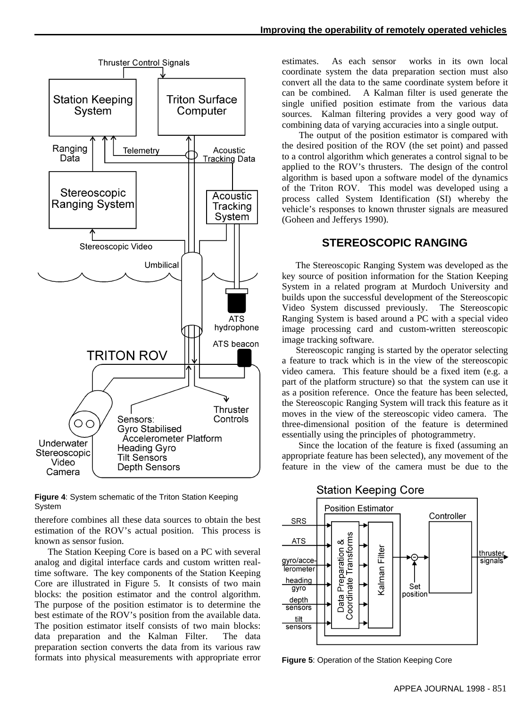



System

therefore combines all these data sources to obtain the best estimation of the ROV's actual position. This process is known as sensor fusion.

 The Station Keeping Core is based on a PC with several analog and digital interface cards and custom written realtime software. The key components of the Station Keeping Core are illustrated in Figure 5. It consists of two main blocks: the position estimator and the control algorithm. The purpose of the position estimator is to determine the best estimate of the ROV's position from the available data. The position estimator itself consists of two main blocks: data preparation and the Kalman Filter. The data preparation section converts the data from its various raw formats into physical measurements with appropriate error estimates. As each sensor works in its own local coordinate system the data preparation section must also convert all the data to the same coordinate system before it can be combined. A Kalman filter is used generate the single unified position estimate from the various data sources. Kalman filtering provides a very good way of combining data of varying accuracies into a single output.

 The output of the position estimator is compared with the desired position of the ROV (the set point) and passed to a control algorithm which generates a control signal to be applied to the ROV's thrusters. The design of the control algorithm is based upon a software model of the dynamics of the Triton ROV. This model was developed using a process called System Identification (SI) whereby the vehicle's responses to known thruster signals are measured (Goheen and Jefferys 1990).

#### **STEREOSCOPIC RANGING**

 The Stereoscopic Ranging System was developed as the key source of position information for the Station Keeping System in a related program at Murdoch University and builds upon the successful development of the Stereoscopic<br>Video System discussed previously. The Stereoscopic Video System discussed previously. Ranging System is based around a PC with a special video image processing card and custom-written stereoscopic image tracking software.

 Stereoscopic ranging is started by the operator selecting a feature to track which is in the view of the stereoscopic video camera. This feature should be a fixed item (e.g. a part of the platform structure) so that the system can use it as a position reference. Once the feature has been selected, the Stereoscopic Ranging System will track this feature as it moves in the view of the stereoscopic video camera. The three-dimensional position of the feature is determined essentially using the principles of photogrammetry.

 Since the location of the feature is fixed (assuming an appropriate feature has been selected), any movement of the feature in the view of the camera must be due to the



**Figure 5**: Operation of the Station Keeping Core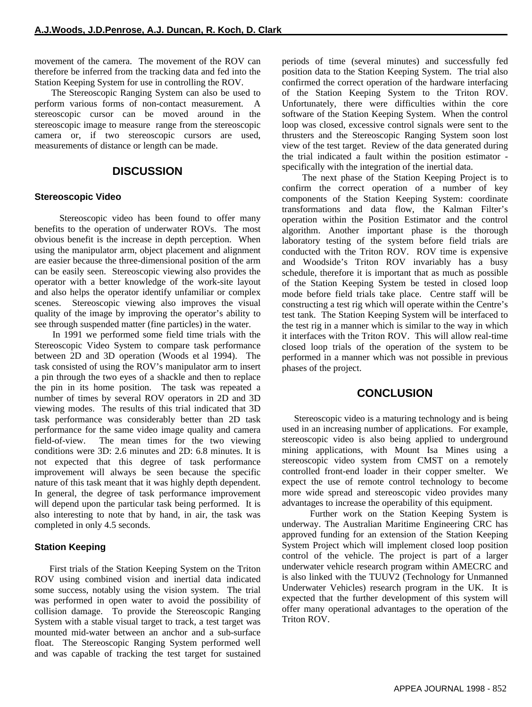movement of the camera. The movement of the ROV can therefore be inferred from the tracking data and fed into the Station Keeping System for use in controlling the ROV.

 The Stereoscopic Ranging System can also be used to perform various forms of non-contact measurement. A stereoscopic cursor can be moved around in the stereoscopic image to measure range from the stereoscopic camera or, if two stereoscopic cursors are used, measurements of distance or length can be made.

#### **DISCUSSION**

#### **Stereoscopic Video**

 Stereoscopic video has been found to offer many benefits to the operation of underwater ROVs. The most obvious benefit is the increase in depth perception. When using the manipulator arm, object placement and alignment are easier because the three-dimensional position of the arm can be easily seen. Stereoscopic viewing also provides the operator with a better knowledge of the work-site layout and also helps the operator identify unfamiliar or complex scenes. Stereoscopic viewing also improves the visual quality of the image by improving the operator's ability to see through suspended matter (fine particles) in the water.

 In 1991 we performed some field time trials with the Stereoscopic Video System to compare task performance between 2D and 3D operation (Woods et al 1994). The task consisted of using the ROV's manipulator arm to insert a pin through the two eyes of a shackle and then to replace the pin in its home position. The task was repeated a number of times by several ROV operators in 2D and 3D viewing modes. The results of this trial indicated that 3D task performance was considerably better than 2D task performance for the same video image quality and camera field-of-view. The mean times for the two viewing conditions were 3D: 2.6 minutes and 2D: 6.8 minutes. It is not expected that this degree of task performance improvement will always be seen because the specific nature of this task meant that it was highly depth dependent. In general, the degree of task performance improvement will depend upon the particular task being performed. It is also interesting to note that by hand, in air, the task was completed in only 4.5 seconds.

#### **Station Keeping**

 First trials of the Station Keeping System on the Triton ROV using combined vision and inertial data indicated some success, notably using the vision system. The trial was performed in open water to avoid the possibility of collision damage. To provide the Stereoscopic Ranging System with a stable visual target to track, a test target was mounted mid-water between an anchor and a sub-surface float. The Stereoscopic Ranging System performed well and was capable of tracking the test target for sustained periods of time (several minutes) and successfully fed position data to the Station Keeping System. The trial also confirmed the correct operation of the hardware interfacing of the Station Keeping System to the Triton ROV. Unfortunately, there were difficulties within the core software of the Station Keeping System. When the control loop was closed, excessive control signals were sent to the thrusters and the Stereoscopic Ranging System soon lost view of the test target. Review of the data generated during the trial indicated a fault within the position estimator specifically with the integration of the inertial data.

 The next phase of the Station Keeping Project is to confirm the correct operation of a number of key components of the Station Keeping System: coordinate transformations and data flow, the Kalman Filter's operation within the Position Estimator and the control algorithm. Another important phase is the thorough laboratory testing of the system before field trials are conducted with the Triton ROV. ROV time is expensive and Woodside's Triton ROV invariably has a busy schedule, therefore it is important that as much as possible of the Station Keeping System be tested in closed loop mode before field trials take place. Centre staff will be constructing a test rig which will operate within the Centre's test tank. The Station Keeping System will be interfaced to the test rig in a manner which is similar to the way in which it interfaces with the Triton ROV. This will allow real-time closed loop trials of the operation of the system to be performed in a manner which was not possible in previous phases of the project.

#### **CONCLUSION**

 Stereoscopic video is a maturing technology and is being used in an increasing number of applications. For example, stereoscopic video is also being applied to underground mining applications, with Mount Isa Mines using a stereoscopic video system from CMST on a remotely controlled front-end loader in their copper smelter. We expect the use of remote control technology to become more wide spread and stereoscopic video provides many advantages to increase the operability of this equipment.

 Further work on the Station Keeping System is underway. The Australian Maritime Engineering CRC has approved funding for an extension of the Station Keeping System Project which will implement closed loop position control of the vehicle. The project is part of a larger underwater vehicle research program within AMECRC and is also linked with the TUUV2 (Technology for Unmanned Underwater Vehicles) research program in the UK. It is expected that the further development of this system will offer many operational advantages to the operation of the Triton ROV.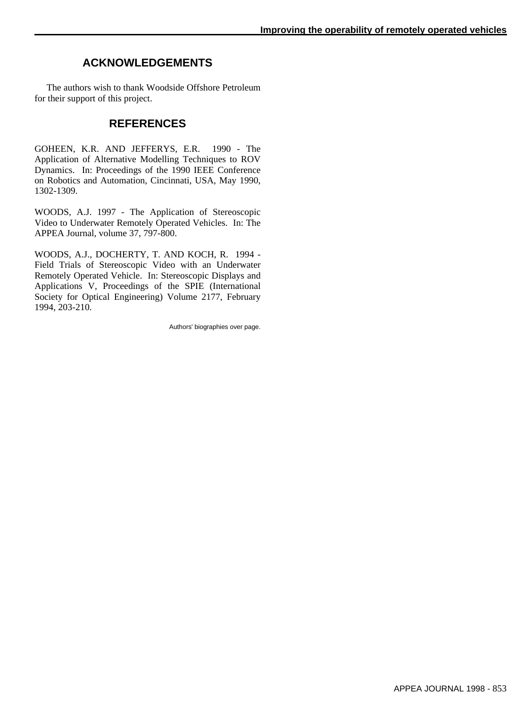# **ACKNOWLEDGEMENTS**

 The authors wish to thank Woodside Offshore Petroleum for their support of this project.

## **REFERENCES**

GOHEEN, K.R. AND JEFFERYS, E.R. 1990 - The Application of Alternative Modelling Techniques to ROV Dynamics. In: Proceedings of the 1990 IEEE Conference on Robotics and Automation, Cincinnati, USA, May 1990, 1302-1309.

WOODS, A.J. 1997 - The Application of Stereoscopic Video to Underwater Remotely Operated Vehicles. In: The APPEA Journal, volume 37, 797-800.

WOODS, A.J., DOCHERTY, T. AND KOCH, R. 1994 - Field Trials of Stereoscopic Video with an Underwater Remotely Operated Vehicle. In: Stereoscopic Displays and Applications V, Proceedings of the SPIE (International Society for Optical Engineering) Volume 2177, February 1994, 203-210.

Authors' biographies over page.